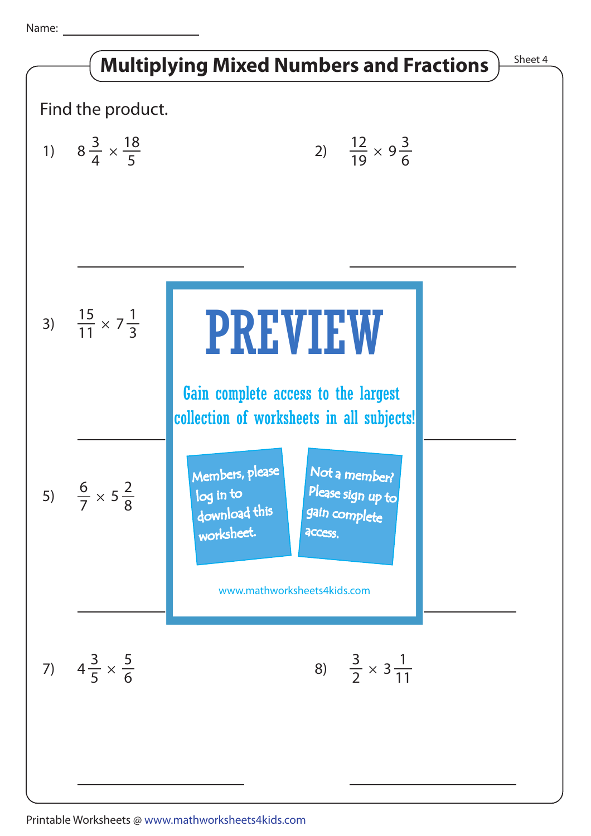